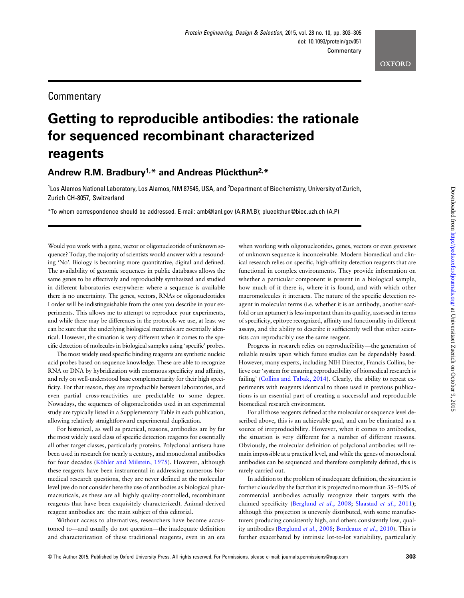## **Commentary**

## Getting to reproducible antibodies: the rationale for sequenced recombinant characterized reagents

Andrew R.M. Bradbury<sup>1,\*</sup> and Andreas Plückthun<sup>2,\*</sup>

<sup>1</sup>Los Alamos National Laboratory, Los Alamos, NM 87545, USA, and <sup>2</sup>Department of Biochemistry, University of Zurich, Zurich CH-8057, Switzerland

\*To whom correspondence should be addressed. E-mail: amb@lanl.gov (A.R.M.B); plueckthun@bioc.uzh.ch (A.P)

Would you work with a gene, vector or oligonucleotide of unknown sequence? Today, the majority of scientists would answer with a resounding 'No'. Biology is becoming more quantitative, digital and defined. The availability of genomic sequences in public databases allows the same genes to be effectively and reproducibly synthesized and studied in different laboratories everywhere: where a sequence is available there is no uncertainty. The genes, vectors, RNAs or oligonucleotides I order will be indistinguishable from the ones you describe in your experiments. This allows me to attempt to reproduce your experiments, and while there may be differences in the protocols we use, at least we can be sure that the underlying biological materials are essentially identical. However, the situation is very different when it comes to the specific detection of molecules in biological samples using 'specific' probes.

The most widely used specific binding reagents are synthetic nucleic acid probes based on sequence knowledge. These are able to recognize RNA or DNA by hybridization with enormous specificity and affinity, and rely on well-understood base complementarity for their high specificity. For that reason, they are reproducible between laboratories, and even partial cross-reactivities are predictable to some degree. Nowadays, the sequences of oligonucleotides used in an experimental study are typically listed in a [Supplementary Table](http://peds.oxfordjournals.org/lookup/suppl/doi:10.1093/protein/gzv051/-/DC1) in each publication, allowing relatively straightforward experimental duplication.

For historical, as well as practical, reasons, antibodies are by far the most widely used class of specific detection reagents for essentially all other target classes, particularly proteins. Polyclonal antisera have been used in research for nearly a century, and monoclonal antibodies for four decades ([Köhler and Milstein, 1975](#page-2-0)). However, although these reagents have been instrumental in addressing numerous biomedical research questions, they are never defined at the molecular level (we do not consider here the use of antibodies as biological pharmaceuticals, as these are all highly quality-controlled, recombinant reagents that have been exquisitely characterized). Animal-derived reagent antibodies are the main subject of this editorial.

Without access to alternatives, researchers have become accustomed to—and usually do not question—the inadequate definition and characterization of these traditional reagents, even in an era

when working with oligonucleotides, genes, vectors or even genomes of unknown sequence is inconceivable. Modern biomedical and clinical research relies on specific, high-affinity detection reagents that are functional in complex environments. They provide information on whether a particular component is present in a biological sample, how much of it there is, where it is found, and with which other macromolecules it interacts. The nature of the specific detection reagent in molecular terms (i.e. whether it is an antibody, another scaffold or an aptamer) is less important than its quality, assessed in terms of specificity, epitope recognized, affinity and functionality in different assays, and the ability to describe it sufficiently well that other scientists can reproducibly use the same reagent.

Progress in research relies on reproducibility—the generation of reliable results upon which future studies can be dependably based. However, many experts, including NIH Director, Francis Collins, believe our 'system for ensuring reproducibility of biomedical research is failing' [\(Collins and Tabak, 2014](#page-2-0)). Clearly, the ability to repeat experiments with reagents identical to those used in previous publications is an essential part of creating a successful and reproducible biomedical research environment.

For all those reagents defined at the molecular or sequence level described above, this is an achievable goal, and can be eliminated as a source of irreproducibility. However, when it comes to antibodies, the situation is very different for a number of different reasons. Obviously, the molecular definition of polyclonal antibodies will remain impossible at a practical level, and while the genes of monoclonal antibodies can be sequenced and therefore completely defined, this is rarely carried out.

In addition to the problem of inadequate definition, the situation is further clouded by the fact that it is projected no more than 35–50% of commercial antibodies actually recognize their targets with the claimed specificity [\(Berglund](#page-1-0) et al., 2008; [Slaastad](#page-2-0) et al., 2011); although this projection is unevenly distributed, with some manufacturers producing consistently high, and others consistently low, quality antibodies ([Berglund](#page-1-0) et al., 2008; [Bordeaux](#page-2-0) et al., 2010). This is further exacerbated by intrinsic lot-to-lot variability, particularly

**OXFORD**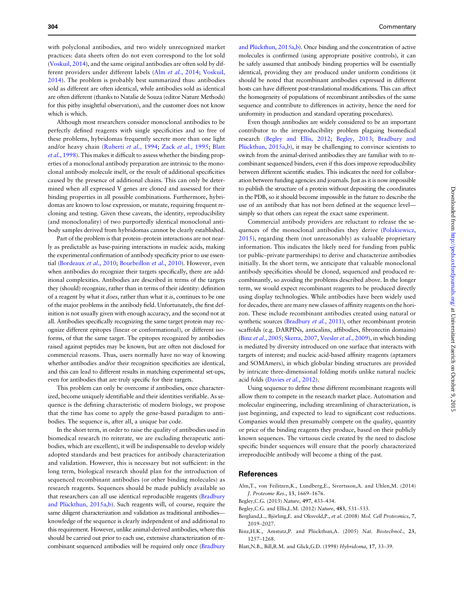<span id="page-1-0"></span>with polyclonal antibodies, and two widely unrecognized market practices: data sheets often do not even correspond to the lot sold ([Voskuil, 2014](#page-2-0)), and the same original antibodies are often sold by different providers under different labels (Alm et al., 2014; [Voskuil,](#page-2-0) [2014](#page-2-0)). The problem is probably best summarized thus: antibodies sold as different are often identical, while antibodies sold as identical are often different (thanks to Natalie de Souza (editor Nature Methods) for this pithy insightful observation), and the customer does not know which is which.

Although most researchers consider monoclonal antibodies to be perfectly defined reagents with single specificities and so free of these problems, hybridomas frequently secrete more than one light and/or heavy chain [\(Ruberti](#page-2-0) et al., 1994; Zack et al.[, 1995](#page-2-0); Blatt et al., 1998). This makes it difficult to assess whether the binding properties of a monoclonal antibody preparation are intrinsic to the monoclonal antibody molecule itself, or the result of additional specificities caused by the presence of additional chains. This can only be determined when all expressed V genes are cloned and assessed for their binding properties in all possible combinations. Furthermore, hybridomas are known to lose expression, or mutate, requiring frequent recloning and testing. Given these caveats, the identity, reproducibility (and monoclonality) of two purportedly identical monoclonal antibody samples derived from hybridomas cannot be clearly established.

Part of the problem is that protein–protein interactions are not nearly as predictable as base-pairing interactions in nucleic acids, making the experimental confirmation of antibody specificity prior to use essen-tial [\(Bordeaux](#page-2-0) et al., 2010; [Bourbeillon](#page-2-0) et al., 2010). However, even when antibodies do recognize their targets specifically, there are additional complexities. Antibodies are described in terms of the targets they (should) recognize, rather than in terms of their identity: definition of a reagent by what it does, rather than what it is, continues to be one of the major problems in the antibody field. Unfortunately, the first definition is not usually given with enough accuracy, and the second not at all. Antibodies specifically recognizing the same target protein may recognize different epitopes (linear or conformational), or different isoforms, of that the same target. The epitopes recognized by antibodies raised against peptides may be known, but are often not disclosed for commercial reasons. Thus, users normally have no way of knowing whether antibodies and/or their recognition specificities are identical, and this can lead to different results in matching experimental set-ups, even for antibodies that are truly specific for their targets.

This problem can only be overcome if antibodies, once characterized, become uniquely identifiable and their identities verifiable. As sequence is the defining characteristic of modern biology, we propose that the time has come to apply the gene-based paradigm to antibodies. The sequence is, after all, a unique bar code.

In the short term, in order to raise the quality of antibodies used in biomedical research (to reiterate, we are excluding therapeutic antibodies, which are excellent), it will be indispensable to develop widely adopted standards and best practices for antibody characterization and validation. However, this is necessary but not sufficient: in the long term, biological research should plan for the introduction of sequenced recombinant antibodies (or other binding molecules) as research reagents. Sequences should be made publicly available so that researchers can all use identical reproducible reagents [\(Bradbury](#page-2-0) [and Plückthun, 2015a](#page-2-0),[b\)](#page-2-0). Such reagents will, of course, require the same diligent characterization and validation as traditional antibodies knowledge of the sequence is clearly independent of and additional to this requirement. However, unlike animal-derived antibodies, where this should be carried out prior to each use, extensive characterization of recombinant sequenced antibodies will be required only once ([Bradbury](#page-2-0)

[and Plückthun, 2015a,b\)](#page-2-0). Once binding and the concentration of active molecules is confirmed (using appropriate positive controls), it can be safely assumed that antibody binding properties will be essentially identical, providing they are produced under uniform conditions (it should be noted that recombinant antibodies expressed in different hosts can have different post-translational modifications. This can affect the homogeneity of populations of recombinant antibodies of the same sequence and contribute to differences in activity, hence the need for uniformity in production and standard operating procedures).

Even though antibodies are widely considered to be an important contributor to the irreproducibility problem plaguing biomedical research (Begley and Ellis, 2012; Begley, 2013; [Bradbury and](#page-2-0) [Plückthun, 2015a,b](#page-2-0)), it may be challenging to convince scientists to switch from the animal-derived antibodies they are familiar with to recombinant sequenced binders, even if this does improve reproducibility between different scientific studies. This indicates the need for collaboration between funding agencies and journals. Just as it is now impossible to publish the structure of a protein without depositing the coordinates in the PDB, so it should become impossible in the future to describe the use of an antibody that has not been defined at the sequence level simply so that others can repeat the exact same experiment.

Commercial antibody providers are reluctant to release the sequences of the monoclonal antibodies they derive ([Polakiewicz,](#page-2-0) [2015](#page-2-0)), regarding them (not unreasonably) as valuable proprietary information. This indicates the likely need for funding from public (or public–private partnerships) to derive and characterize antibodies initially. In the short term, we anticipate that valuable monoclonal antibody specificities should be cloned, sequenced and produced recombinantly, so avoiding the problems described above. In the longer term, we would expect recombinant reagents to be produced directly using display technologies. While antibodies have been widely used for decades, there are many new classes of affinity reagents on the horizon. These include recombinant antibodies created using natural or synthetic sources ([Bradbury](#page-2-0) et al., 2011), other recombinant protein scaffolds (e.g. DARPINs, anticalins, affibodies, fibronectin domains) (Binz et al., 2005; [Skerra, 2007,](#page-2-0) [Veesler](#page-2-0) et al., 2009), in which binding is mediated by diversity introduced on one surface that interacts with targets of interest; and nucleic acid-based affinity reagents (aptamers and SOMAmers), in which globular binding structures are provided by intricate three-dimensional folding motifs unlike natural nucleic acid folds ([Davies](#page-2-0) et al., 2012).

Using sequence to define these different recombinant reagents will allow them to compete in the research market place. Automation and molecular engineering, including streamlining of characterization, is just beginning, and expected to lead to significant cost reductions. Companies would then presumably compete on the quality, quantity or price of the binding reagents they produce, based on their publicly known sequences. The virtuous circle created by the need to disclose specific binder sequences will ensure that the poorly characterized irreproducible antibody will become a thing of the past.

## References

- Alm,T., von Feilitzen,K., Lundberg,E., Sivertsson,A. and Uhlen,M. (2014) J. Proteome Res., 13, 1669–1676.
- Begley,C.G. (2013) Nature, 497, 433–434.
- Begley,C.G. and Ellis,L.M. (2012) Nature, 483, 531–533.
- Berglund,L., Björling,E. and Oksvold,P., et al. (2008) Mol. Cell Proteomics, 7, 2019–2027.
- Binz,H.K., Amstutz,P. and Plückthun,A. (2005) Nat. Biotechnol., 23, 1257–1268.
- Blatt,N.B., Bill,R.M. and Glick,G.D. (1998) Hybridoma, 17, 33–39.